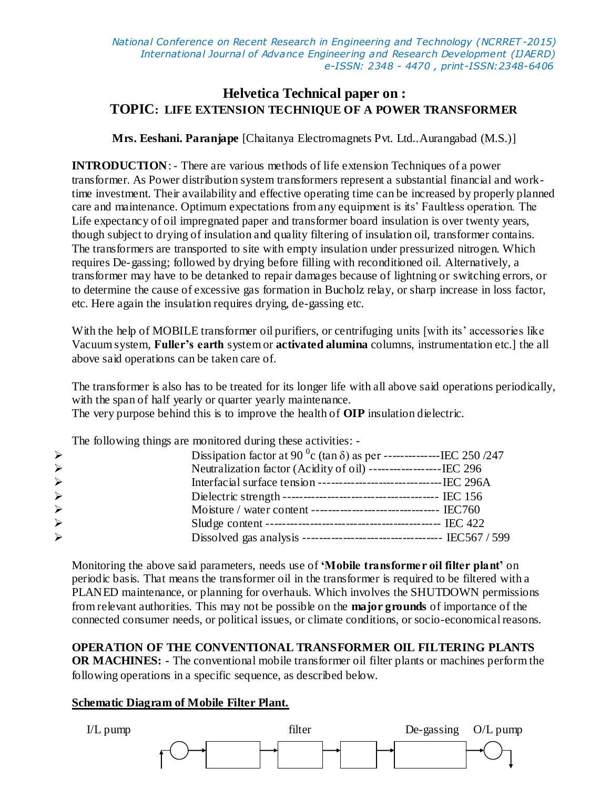*National Conference on Recent Research in Engineering and Technology (NCRRET -2015) International Journal of Advance Engineering and Research Development (IJAERD) e-ISSN: 2348 - 4470 , print-ISSN:2348-6406*

## **Helvetica Technical paper on : TOPIC: LIFE EXTENSION TECHNIQUE OF A POWER TRANSFORMER**

**Mrs. Eeshani. Paranjape** [Chaitanya Electromagnets Pvt. Ltd..Aurangabad (M.S.)]

**INTRODUCTION**: - There are various methods of life extension Techniques of a power transformer. As Power distribution system transformers represent a substantial financial and worktime investment. Their availability and effective operating time can be increased by properly planned care and maintenance. Optimum expectations from any equipment is its' Faultless operation. The Life expectancy of oil impregnated paper and transformer board insulation is over twenty years, though subject to drying of insulation and quality filtering of insulation oil, transformer contains. The transformers are transported to site with empty insulation under pressurized nitrogen. Which requires De-gassing; followed by drying before filling with reconditioned oil. Alternatively, a transformer may have to be detanked to repair damages because of lightning or switching errors, or to determine the cause of excessive gas formation in Bucholz relay, or sharp increase in loss factor, etc. Here again the insulation requires drying, de-gassing etc.

With the help of MOBILE transformer oil purifiers, or centrifuging units [with its' accessories like Vacuum system, **Fuller's earth** system or **activated alumina** columns, instrumentation etc.] the all above said operations can be taken care of.

The transformer is also has to be treated for its longer life with all above said operations periodically, with the span of half yearly or quarter yearly maintenance. The very purpose behind this is to improve the health of **OIP** insulation dielectric.

The following things are monitored during these activities: -

| $\blacktriangleright$ |  | Dissipation factor at 90 $^{\circ}$ c (tan $\delta$ ) as per ----------------IEC 250/247 |  |
|-----------------------|--|------------------------------------------------------------------------------------------|--|
| $\blacktriangleright$ |  | Neutralization factor (Acidity of oil) -------------------IEC 296                        |  |
| $\blacktriangleright$ |  |                                                                                          |  |
| $\blacktriangleright$ |  |                                                                                          |  |
| $\blacktriangleright$ |  |                                                                                          |  |
| $\blacktriangleright$ |  |                                                                                          |  |
| $\blacktriangleright$ |  |                                                                                          |  |
|                       |  |                                                                                          |  |

Monitoring the above said parameters, needs use of **'Mobile transformer oil filter plant'** on periodic basis. That means the transformer oil in the transformer is required to be filtered with a PLANED maintenance, or planning for overhauls. Which involves the SHUTDOWN permissions from relevant authorities. This may not be possible on the **major grounds** of importance of the connected consumer needs, or political issues, or climate conditions, or socio-economical reasons.

**OPERATION OF THE CONVENTIONAL TRANSFORMER OIL FILTERING PLANTS OR MACHINES: -** The conventional mobile transformer oil filter plants or machines perform the following operations in a specific sequence, as described below.

### **Schematic Diagram of Mobile Filter Plant.**

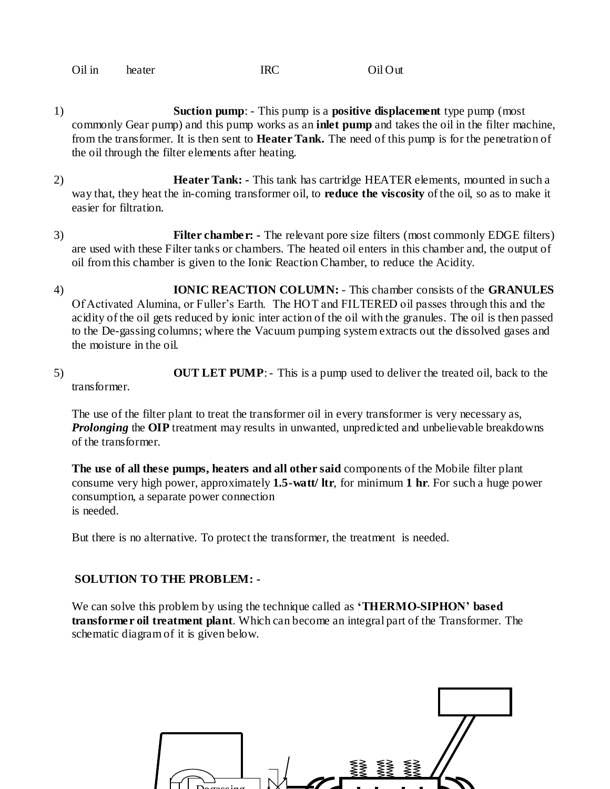| Oil in | heater | IRC | Oil Out |
|--------|--------|-----|---------|
|        |        |     |         |

- 1) **Suction pump**: This pump is a **positive displacement** type pump (most commonly Gear pump) and this pump works as an **inlet pump** and takes the oil in the filter machine, from the transformer. It is then sent to **Heater Tank.** The need of this pump is for the penetration of the oil through the filter elements after heating.
- 2) **Heater Tank: -** This tank has cartridge HEATER elements, mounted in such a way that, they heat the in-coming transformer oil, to **reduce the viscosity** of the oil, so as to make it easier for filtration.
- 3) **Filter chamber: -** The relevant pore size filters (most commonly EDGE filters) are used with these Filter tanks or chambers. The heated oil enters in this chamber and, the output of oil from this chamber is given to the Ionic Reaction Chamber, to reduce the Acidity.
- 4) **IONIC REACTION COLUMN:** This chamber consists of the **GRANULES** Of Activated Alumina, or Fuller's Earth. The HOT and FILTERED oil passes through this and the acidity of the oil gets reduced by ionic inter action of the oil with the granules. The oil is then passed to the De-gassing columns; where the Vacuum pumping system extracts out the dissolved gases and the moisture in the oil.
- 5) **OUT LET PUMP**: This is a pump used to deliver the treated oil, back to the transformer.

The use of the filter plant to treat the transformer oil in every transformer is very necessary as, *Prolonging* the **OIP** treatment may results in unwanted, unpredicted and unbelievable breakdowns of the transformer.

**The use of all these pumps, heaters and all other said** components of the Mobile filter plant consume very high power, approximately **1.5-watt/ ltr**, for minimum **1 hr**. For such a huge power consumption, a separate power connection is needed.

But there is no alternative. To protect the transformer, the treatment is needed.

#### **SOLUTION TO THE PROBLEM: -**

We can solve this problem by using the technique called as **'THERMO-SIPHON' based transformer oil treatment plant**. Which can become an integral part of the Transformer. The schematic diagram of it is given below.

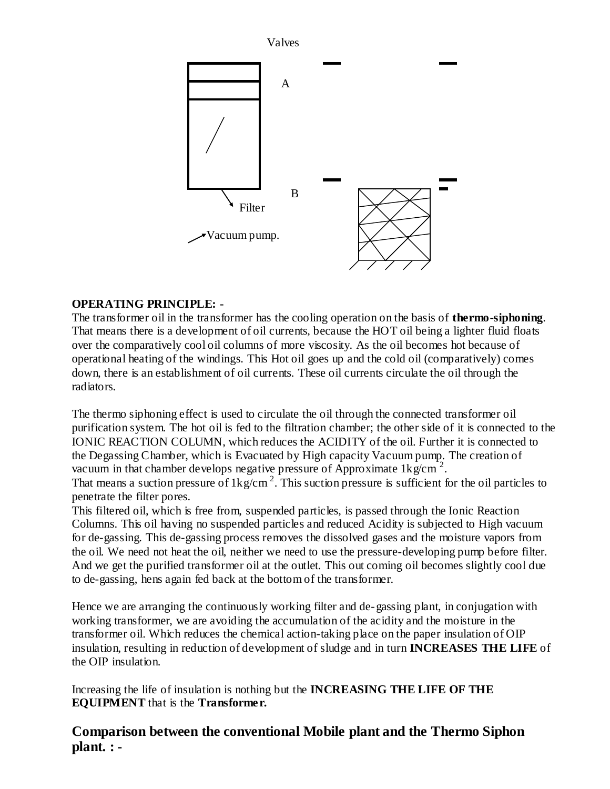

## **OPERATING PRINCIPLE: -**

The transformer oil in the transformer has the cooling operation on the basis of **thermo-siphoning**. That means there is a development of oil currents, because the HOT oil being a lighter fluid floats over the comparatively cool oil columns of more viscosity. As the oil becomes hot because of operational heating of the windings. This Hot oil goes up and the cold oil (comparatively) comes down, there is an establishment of oil currents. These oil currents circulate the oil through the radiators.

The thermo siphoning effect is used to circulate the oil through the connected transformer oil purification system. The hot oil is fed to the filtration chamber; the other side of it is connected to the IONIC REACTION COLUMN, which reduces the ACIDITY of the oil. Further it is connected to the Degassing Chamber, which is Evacuated by High capacity Vacuum pump. The creation of vacuum in that chamber develops negative pressure of Approximate  $1 \text{kg/cm}^2$ .

That means a suction pressure of  $1\text{kg/cm}^2$ . This suction pressure is sufficient for the oil particles to penetrate the filter pores.

This filtered oil, which is free from, suspended particles, is passed through the Ionic Reaction Columns. This oil having no suspended particles and reduced Acidity is subjected to High vacuum for de-gassing. This de-gassing process removes the dissolved gases and the moisture vapors from the oil. We need not heat the oil, neither we need to use the pressure-developing pump before filter. And we get the purified transformer oil at the outlet. This out coming oil becomes slightly cool due to de-gassing, hens again fed back at the bottom of the transformer.

Hence we are arranging the continuously working filter and de-gassing plant, in conjugation with working transformer, we are avoiding the accumulation of the acidity and the moisture in the transformer oil. Which reduces the chemical action-taking place on the paper insulation of OIP insulation, resulting in reduction of development of sludge and in turn **INCREASES THE LIFE** of the OIP insulation.

Increasing the life of insulation is nothing but the **INCREASING THE LIFE OF THE EQUIPMENT** that is the **Transformer.**

# **Comparison between the conventional Mobile plant and the Thermo Siphon plant. : -**